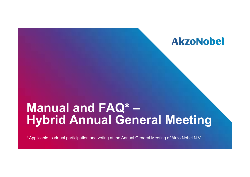# **Manual and FAQ\* – Hybrid Annual General Meeting**

\* Applicable to virtual participation and voting at the Annual General Meeting of Akzo Nobel N.V.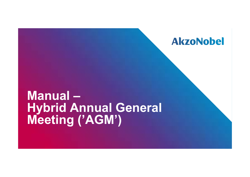# **Manual – Hybrid Annual General Meeting ('AGM')**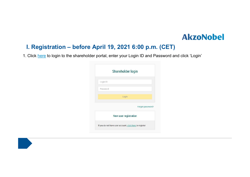### **I. Registration – before April 19, 2021 6:00 p.m. (CET)**

1. Click <u>here</u> to login to the shareholder portal, enter your Login ID and Password and click 'Login'

|          | Shareholder login                                       |
|----------|---------------------------------------------------------|
| Login ID |                                                         |
| Password |                                                         |
|          | Login                                                   |
|          | Forgot password?                                        |
|          | New user registration                                   |
|          | If you do not have user account, click here to register |

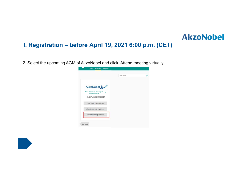### **I. Registration – before April 19, 2021 6:00 p.m. (CET)**

2. Select the upcoming AGM of AkzoNobel and click 'Attend meeting virtually'



**AkzoNobel**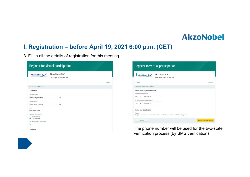### **I. Registration – before April 19, 2021 6:00 p.m. (CET)**

3. Fill in all the details of registration for this meeting

| <b>Register for virtual participation</b>                                                                                                                                                                                  |        | <b>Register for virtual participation</b>                                                                                                                                                                                                                                                                                  |
|----------------------------------------------------------------------------------------------------------------------------------------------------------------------------------------------------------------------------|--------|----------------------------------------------------------------------------------------------------------------------------------------------------------------------------------------------------------------------------------------------------------------------------------------------------------------------------|
| Akzo Nobel N.V.<br>AkzoNobel y<br>On 22 April 2021   14:00 CET                                                                                                                                                             |        | Akzo Nobel N.V.<br>AkzoNobel y<br>On 22 April 2021   14:00 CET                                                                                                                                                                                                                                                             |
|                                                                                                                                                                                                                            | Cancel | $\epsilon$ Back<br>Cancel                                                                                                                                                                                                                                                                                                  |
| 1/4 Shares and Account                                                                                                                                                                                                     |        | 2/4 Phone, Terms and Conditions                                                                                                                                                                                                                                                                                            |
| Securities<br>Security class<br>Ordinary shares<br>$\checkmark$<br>Intermediary<br>$\checkmark$<br>ABN AMRO Registrar<br><b>ISIN</b><br>NL0013267909<br>Number of securities<br>Entire holding<br><b>O</b> Partial holding |        | Verification of phone number<br>Mobile phone number.<br>622800115<br>$+31$ $\vee$<br>Re-enter mobile phone number<br>622800115<br>$+31$ $\vee$<br><b>Terms and Conditions</b><br>Phone<br>The phone number can not be changed once verified and must be used till meeting ends.<br><b>Acknowledge and Accept</b><br>Cancel |
| Enter number of securities                                                                                                                                                                                                 |        |                                                                                                                                                                                                                                                                                                                            |
| Account                                                                                                                                                                                                                    |        | The phone number will be used for the two-state<br>verification process (by SMS verification)                                                                                                                                                                                                                              |

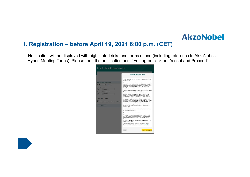### **I. Registration – before April 19, 2021 6:00 p.m. (CET)**

4. Notification will be displayed with highlighted risks and terms of use (including reference to AkzoNobel's Hybrid Meeting Terms). Please read the notification and if you agree click on 'Accept and Proceed'

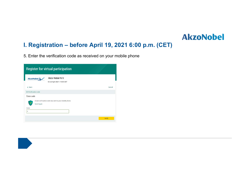### **I. Registration – before April 19, 2021 6:00 p.m. (CET)**

5. Enter the verification code as received on your mobile phone

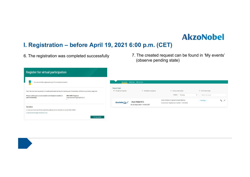### **I. Registration – before April 19, 2021 6:00 p.m. (CET)**

- 
- 6. The registration was completed successfully 7. The created request can be found in 'My events' (observe pending state)

| <b>Register for virtual participation</b>                                                                                                                                                                                                                                     |                                                                                                                                                                                                     |
|-------------------------------------------------------------------------------------------------------------------------------------------------------------------------------------------------------------------------------------------------------------------------------|-----------------------------------------------------------------------------------------------------------------------------------------------------------------------------------------------------|
| You successfully registered to join for virtual participation                                                                                                                                                                                                                 | <b>Meetings My Account</b><br>My events                                                                                                                                                             |
| Now that you have requested to virtually participate during the meeting your intermediary will have to provide an approval.<br>Please confirm your account number and telephone number to<br><b>ABN AMRO Registrar</b><br>corporate.broking@registrar.co<br>your intermediary | Request type:<br>$\circ$ Voting instructions<br>Confirmed votes<br><sup>®</sup> Virtual participation<br>Attendance requests<br>Status:<br>Pending<br>Search by issuer<br>$\boldsymbol{\mathrm{v}}$ |
| Question                                                                                                                                                                                                                                                                      | <b>Extra Ordinary Or Special General Meeting</b><br>Pending<br><br>- 1<br>Akzo Nobel N.V.<br>AkzoNobel y<br>8 securities   Registration number 1.184.00002<br>On 22 April 2021   14:00 CET          |
| In case you have any further questions, please do not hesitate to contact ABN AMRO.<br>corporate.broking@nl.abnamro.com<br>To my events                                                                                                                                       |                                                                                                                                                                                                     |

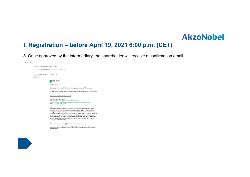### **I. Registration – before April 19, 2021 6:00 p.m. (CET)**

8. Once approved by the intermediary, the shareholder will receive a confirmation email



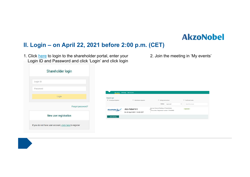### **II. Login – on April 22, 2021 before 2:00 p.m. (CET)**

1. Click <u>here</u> to login to the shareholder portal, enter your Login ID and Password and click 'Login' and click login

|          | Shareholder login     |
|----------|-----------------------|
|          |                       |
| Login ID |                       |
| Password |                       |
|          | Login                 |
|          | Forgot password?      |
|          | New user registration |
|          |                       |

|                                                     | My events Meetings My Account                   |                                                                                          |                                                     |
|-----------------------------------------------------|-------------------------------------------------|------------------------------------------------------------------------------------------|-----------------------------------------------------|
| Request type:<br><sup>●</sup> Virtual participation | Attendance requests                             | © Voting instructions<br>Status:<br>Approved                                             | Confirmed votes<br>Search by issuer<br>$\mathbf{v}$ |
| AkzoNobel &                                         | Akzo Nobel N.V.<br>On 22 April 2021   14:00 CET | Annual General Meeting of Shareholders<br>8 securities   Registration number 1.184.00002 | Approved                                            |
| Join meeting                                        |                                                 |                                                                                          |                                                     |

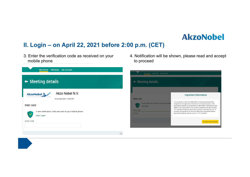### **II. Login – on April 22, 2021 before 2:00 p.m. (CET)**

- 3. Enter the verification code as received on your mobile phone
- 4. Notification will be shown, please read and accept to proceed

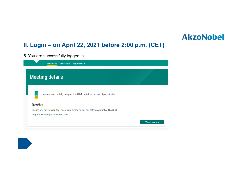### **II. Login – on April 22, 2021 before 2:00 p.m. (CET)**

5. You are successfully logged in

| My events<br><b>Meetings My Account</b>                                                                                 |              |
|-------------------------------------------------------------------------------------------------------------------------|--------------|
| <b>Meeting details</b>                                                                                                  |              |
| You are successfully navigated to LUMI portal for the virtual participation<br>Question                                 |              |
| In case you have any further questions, please do not hesitate to contact ABN AMRO.<br>corporate.broking@nl.abnamro.com | To my events |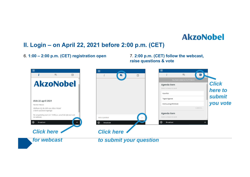### **II. Login – on April 22, 2021 before 2:00 p.m. (CET)**

#### $\equiv$ ⋿ Ξ  $\blacksquare$  $\mathbf{i}$  $\qquad \qquad \blacksquare$ 皿 局  $\blacksquare$ 皿 **AkzoNobel** *Click*  **Agenda item** Select a choice to send. *here to* Voor/For *submit* Tegen/Against **AVA 22 april 2021** *you vote* Onthouding/Withheld Nomen Nescio CANCEL Welkom bij de AVA van Akzo Nobel U bent succesvol ingelogd Agenda item De vergadering start om 14:00uur, vanaf die tijd start ook Select a choice to send. de webcast. Ask a question Broadcast ⊚ **Broadcast** ⊚ Broadcast *Click here Click here for webcastto submit your question*

**raise questions & vote**

#### 6. **1:00 – 2:00 p.m. (CET) registration open** 7. **2:00 p.m. (CET) follow the webcast,**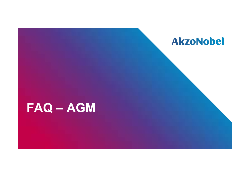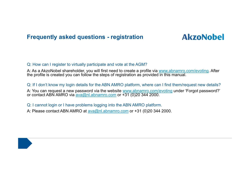**Frequently asked questions - registration**

## **AkzoNobel**

#### Q: How can I register to virtually participate and vote at the AGM?

A: As a AkzoNobel shareholder, you will first need to create a profile via www.abnamro.com/evoting. After the profile is created you can follow the steps of registration as provided in this manual.

Q: If I don't know my login details for the ABN AMRO platform, where can I find them/request new details? A: You can request a new password via the website <u>www.abnamro.com/evoting</u> under 'Forgot password?' or contact ABN AMRO via <u>ava@nl.abnamro.com</u> or +31 (0)20 344 2000.

Q: I cannot login or I have problems logging into the ABN AMRO platform.

A: Please contact ABN AMRO at ava@nl.abnamro.com or +31 (0)20 344 2000.

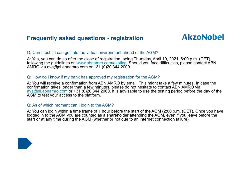### **Frequently asked questions - registration**

## **AkzoNobel**

#### Q: Can I test if I can get into the virtual environment ahead of the AGM?

A: Yes, you can do so after the close of registration, being Thursday, April 19, 2021, 6:00 p.m. (CET), following the guidelines on www.abnamro.com/evoting. Should you face difficulties, please contact ABN AMRO via ava@nl.abnamro.com or +31 (0)20 344 2000

#### Q: How do I know if my bank has approved my registration for the AGM?

A: You will receive a confirmation from ABN AMRO by email. This might take a few minutes. In case the confirmation takes longer than a few minutes, please do not hesitate to contact ABN AMRO via ava@nl.abnamro.com or +31 (0)20 344 2000. It is advisable to use the testing period before the day of the AGM to test your access to the platform.

#### Q: As of which moment can I login to the AGM?

A: You can login within a time frame of 1 hour before the start of the AGM (2:00 p.m. (CET). Once you have logged in to the AGM you are counted as a shareholder attending the AGM, even if you leave before the start or at any time during the AGM (whether or not due to an internet connection failure).

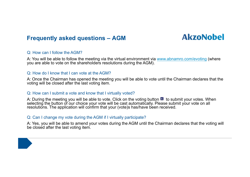### **Frequently asked questions – AGM**

## **AkzoNobel**

#### Q: How can I follow the AGM?

A: You will be able to follow the meeting via the virtual environment via www.abnamro.com/evoting (where you are able to vote on the shareholders resolutions during the AGM).

#### Q: How do I know that I can vote at the AGM?

A: Once the Chairman has opened the meeting you will be able to vote until the Chairman declares that the voting will be closed after the last voting item.

#### Q: How can I submit a vote and know that I virtually voted?

A: During the meeting you will be able to vote. Click on the voting button  $\blacksquare$  to submit your votes. When selecting the button of our choice your vote will be cast automatically. Please submit your vote on all resolutions. The application will confirm that your (vote)s has/have been received.

#### Q: Can I change my vote during the AGM if I virtually participate?

A: Yes, you will be able to amend your votes during the AGM until the Chairman declares that the voting will be closed after the last voting item.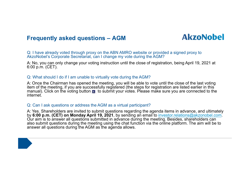### **Frequently asked questions – AGM**

## **AkzoNobel**

Q: I have already voted through proxy on the ABN AMRO website or provided a signed proxy to AkzoNobel's Corporate Secretariat, can I change my vote during the AGM?

A: No, you can only change your voting instruction until the close of registration, being April 19, 2021 at 6:00 p.m. (CET).

#### Q: What should I do if I am unable to virtually vote during the AGM?

A: Once the Chairman has opened the meeting, you will be able to vote until the close of the last voting item of the meeting, if you are successfully registered (the steps for registration are listed earlier in this manual). Click on the voting button  $\blacksquare$  to submit your votes. Please make sure you are connected to the internet.

#### Q: Can I ask questions or address the AGM as a virtual participant?

A: Yes. Shareholders are invited to submit questions regarding the agenda items in advance, and ultimately by **6:00 p.m. (CET) on Monday April 19, 2021**, by sending an email to investor.relations@akzonobel.com. Our aim is to answer all questions submitted in advance during the meeting. Besides, shareholders can also submit questions during the meeting using the chat function via the online platform. The aim will be to answer all questions during the AGM as the agenda allows.

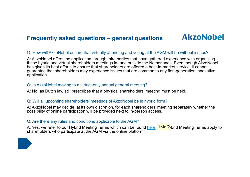## **AkzoNobel**

#### Q: How will AkzoNobel ensure that virtually attending and voting at the AGM will be without issues?

A: AkzoNobel offers the application through third parties that have gathered experience with organizing these hybrid and virtual shareholders meetings in- and outside the Netherlands. Even though AkzoNobel has given its best efforts to ensure that shareholders are offered a best-in-market service, it cannot guarantee that shareholders may experience issues that are common to any first-generation innovative application.

#### Q: Is AkzoNobel moving to a virtual-only annual general meeting ?

A: No, as Dutch law still prescribes that a physical shareholders' meeting must be held.

#### Q: Will all upcoming shareholders' meetings of AkzoNobel be in hybrid form?

A: AkzoNobel may decide, at its own discretion, for each shareholders' meeting separately whether the possibility of online participation will be provided next to in-person access.

#### Q: Are there any rules and conditions applicable to the AGM?

A: Yes, we refer to our Hybrid Meeting Terms which can be found <u>here</u>. <mark>HMd(2</mark>/brid Meeting Terms apply to shareholders who participate at the AGM via the online platform.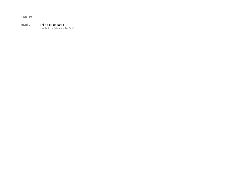#### **HMd(2** link to be updated

Hek, M.A. de (Marleen), 26-Feb-21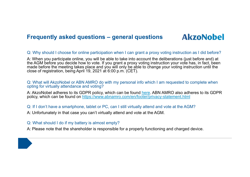## **AkzoNobel**

#### Q: Why should I choose for online participation when I can grant a proxy voting instruction as I did before?

A: When you participate online, you will be able to take into account the deliberations (just before and) at the AGM before you decide how to vote. If you grant a proxy voting instruction your vote has, in fact, been made before the meeting takes place and you will only be able to change your voting instruction until the close of registration, being April 19, 2021 at 6:00 p.m. (CET).

#### Q: What will AkzoNobel or ABN AMRO do with my personal info which I am requested to complete when opting for virtually attendance and voting?

A: AkzoNobel adheres to its GDPR policy, which can be found here. ABN AMRO also adheres to its GDPR policy, which can be found on https://www.abnamro.com/en/footer/privacy-statement.html

#### Q: If I don't have a smartphone, tablet or PC, can I still virtually attend and vote at the AGM?

A: Unfortunately in that case you can't virtually attend and vote at the AGM.

#### Q: What should I do if my battery is almost empty?

A: Please note that the shareholder is responsible for a properly functioning and charged device.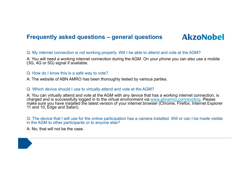## **AkzoNobel**

#### Q: My internet connection is not working properly. Will I be able to attend and vote at the AGM?

A: You will need a working internet connection during the AGM. On your phone you can also use a mobile (3G, 4G or 5G) signal if available.

#### Q: How do I know this is a safe way to vote?

A: The website of ABN AMRO has been thoroughly tested by various parties.

#### Q: Which device should I use to virtually attend and vote at the AGM?

A: You can virtually attend and vote at the AGM with any device that has a working internet connection, is charged and is successfully logged in to the virtual environment via www.abnamro.com/evoting. Please make sure you have installed the latest version of your internet browser (Chrome, Firefox, Internet Explorer 11 and 10, Edge and Safari).

Q: The device that I will use for the online participation has a camera installed. Will or can I be made visible in the AGM to other participants or to anyone else?

A: No, that will not be the case.

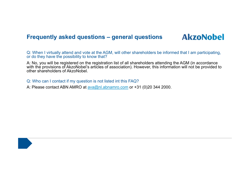**AkzoNobel** 

Q: When I virtually attend and vote at the AGM, will other shareholders be informed that I am participating, or do they have the possibility to know that?

A: No, you will be registered on the registration list of all shareholders attending the AGM (in accordance with the provisions of AkzoNobel's articles of association). However, this information will not be provided to other shareholders of AkzoNobel.

Q: Who can I contact if my question is not listed int this FAQ?

A: Please contact ABN AMRO at ava@nl.abnamro.com or +31 (0)20 344 2000.